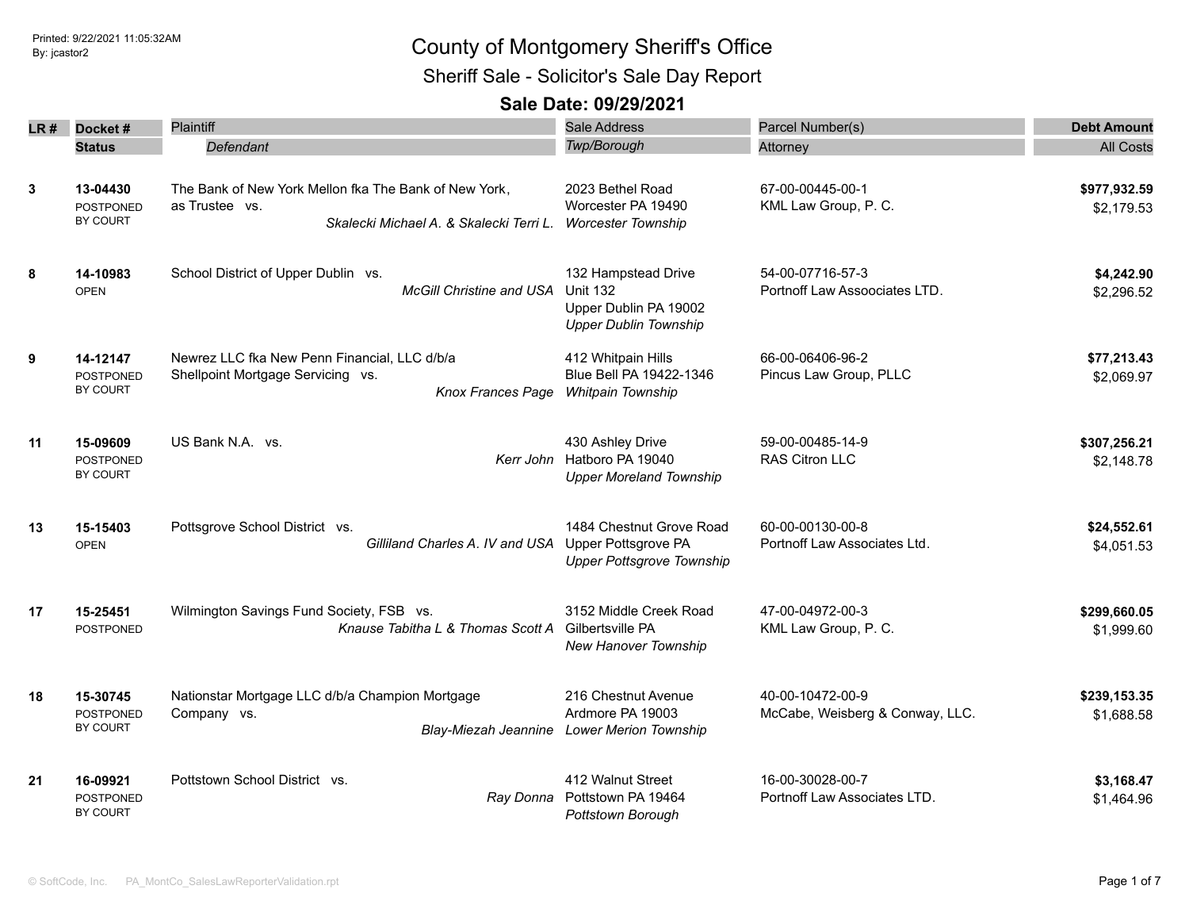Sheriff Sale - Solicitor's Sale Day Report

| LR# | Docket#                                         | Plaintiff                                                                                                          | <b>Sale Address</b>                                                                             | Parcel Number(s)                                    | <b>Debt Amount</b>         |
|-----|-------------------------------------------------|--------------------------------------------------------------------------------------------------------------------|-------------------------------------------------------------------------------------------------|-----------------------------------------------------|----------------------------|
|     | <b>Status</b>                                   | Defendant                                                                                                          | Twp/Borough                                                                                     | Attorney                                            | <b>All Costs</b>           |
| 3   | 13-04430<br><b>POSTPONED</b><br>BY COURT        | The Bank of New York Mellon fka The Bank of New York,<br>as Trustee vs.<br>Skalecki Michael A. & Skalecki Terri L. | 2023 Bethel Road<br>Worcester PA 19490<br><b>Worcester Township</b>                             | 67-00-00445-00-1<br>KML Law Group, P. C.            | \$977,932.59<br>\$2,179.53 |
| 8   | 14-10983<br><b>OPEN</b>                         | School District of Upper Dublin vs.<br><b>McGill Christine and USA</b>                                             | 132 Hampstead Drive<br><b>Unit 132</b><br>Upper Dublin PA 19002<br><b>Upper Dublin Township</b> | 54-00-07716-57-3<br>Portnoff Law Assoociates LTD.   | \$4,242.90<br>\$2,296.52   |
| 9   | 14-12147<br><b>POSTPONED</b><br>BY COURT        | Newrez LLC fka New Penn Financial, LLC d/b/a<br>Shellpoint Mortgage Servicing vs.                                  | 412 Whitpain Hills<br>Blue Bell PA 19422-1346<br>Knox Frances Page Whitpain Township            | 66-00-06406-96-2<br>Pincus Law Group, PLLC          | \$77,213.43<br>\$2,069.97  |
| 11  | 15-09609<br><b>POSTPONED</b><br>BY COURT        | US Bank N.A. vs.                                                                                                   | 430 Ashley Drive<br>Kerr John Hatboro PA 19040<br><b>Upper Moreland Township</b>                | 59-00-00485-14-9<br><b>RAS Citron LLC</b>           | \$307,256.21<br>\$2,148.78 |
| 13  | 15-15403<br><b>OPEN</b>                         | Pottsgrove School District vs.<br>Gilliland Charles A. IV and USA                                                  | 1484 Chestnut Grove Road<br>Upper Pottsgrove PA<br><b>Upper Pottsgrove Township</b>             | 60-00-00130-00-8<br>Portnoff Law Associates Ltd.    | \$24,552.61<br>\$4,051.53  |
| 17  | 15-25451<br>POSTPONED                           | Wilmington Savings Fund Society, FSB vs.<br>Knause Tabitha L & Thomas Scott A                                      | 3152 Middle Creek Road<br>Gilbertsville PA<br>New Hanover Township                              | 47-00-04972-00-3<br>KML Law Group, P. C.            | \$299,660.05<br>\$1,999.60 |
| 18  | 15-30745<br>POSTPONED<br>BY COURT               | Nationstar Mortgage LLC d/b/a Champion Mortgage<br>Company vs.                                                     | 216 Chestnut Avenue<br>Ardmore PA 19003<br>Blay-Miezah Jeannine Lower Merion Township           | 40-00-10472-00-9<br>McCabe, Weisberg & Conway, LLC. | \$239,153.35<br>\$1,688.58 |
| 21  | 16-09921<br><b>POSTPONED</b><br><b>BY COURT</b> | Pottstown School District vs.                                                                                      | 412 Walnut Street<br>Ray Donna Pottstown PA 19464<br>Pottstown Borough                          | 16-00-30028-00-7<br>Portnoff Law Associates LTD.    | \$3,168.47<br>\$1,464.96   |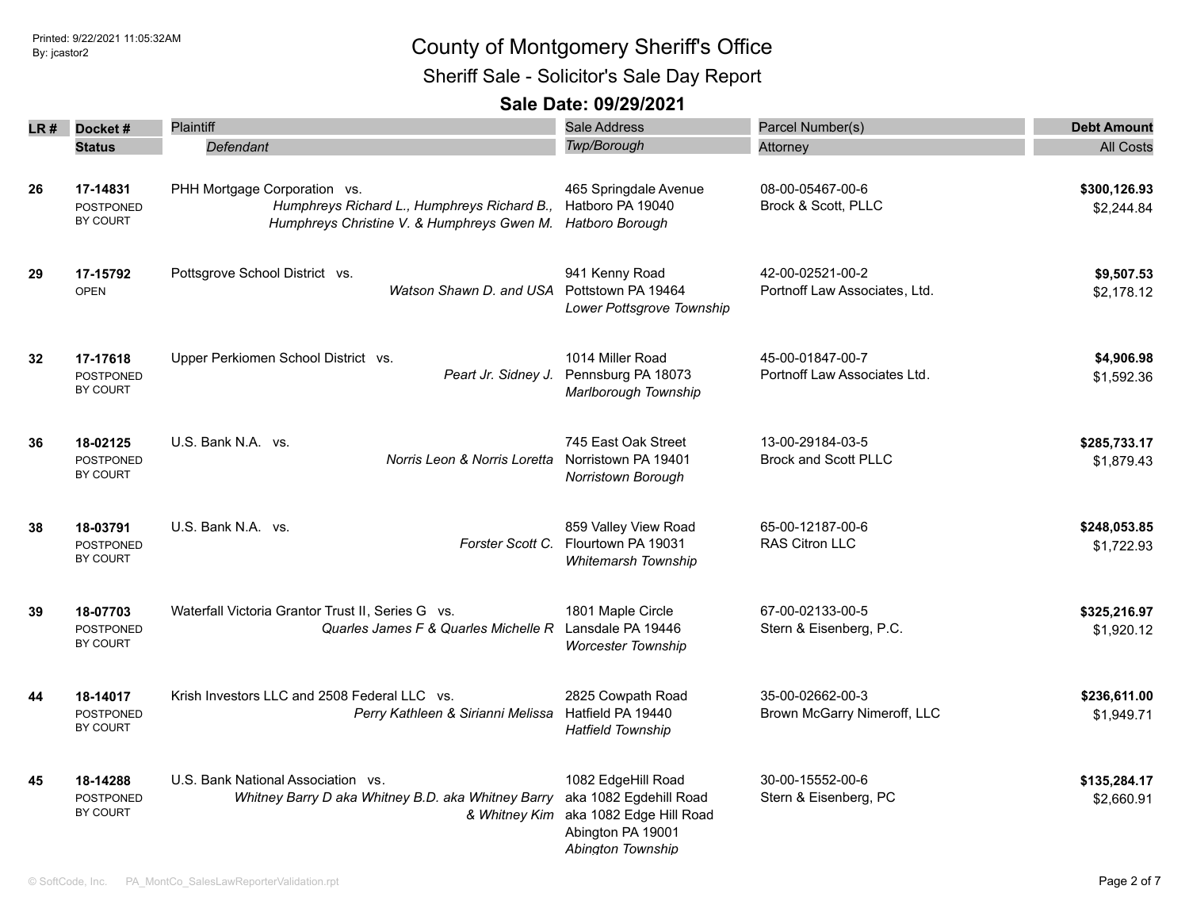Sheriff Sale - Solicitor's Sale Day Report

|    | LR# Docket#                              | <b>Plaintiff</b>                                                                                                          | Sale Address                                                                                                      | Parcel Number(s)                                  | <b>Debt Amount</b>         |
|----|------------------------------------------|---------------------------------------------------------------------------------------------------------------------------|-------------------------------------------------------------------------------------------------------------------|---------------------------------------------------|----------------------------|
|    | <b>Status</b>                            | Defendant                                                                                                                 | Twp/Borough                                                                                                       | Attorney                                          | <b>All Costs</b>           |
| 26 | 17-14831<br><b>POSTPONED</b><br>BY COURT | PHH Mortgage Corporation vs.<br>Humphreys Richard L., Humphreys Richard B.,<br>Humphreys Christine V. & Humphreys Gwen M. | 465 Springdale Avenue<br>Hatboro PA 19040<br>Hatboro Borough                                                      | 08-00-05467-00-6<br>Brock & Scott, PLLC           | \$300,126.93<br>\$2,244.84 |
| 29 | 17-15792<br><b>OPEN</b>                  | Pottsgrove School District vs.<br>Watson Shawn D. and USA                                                                 | 941 Kenny Road<br>Pottstown PA 19464<br>Lower Pottsgrove Township                                                 | 42-00-02521-00-2<br>Portnoff Law Associates, Ltd. | \$9,507.53<br>\$2,178.12   |
| 32 | 17-17618<br><b>POSTPONED</b><br>BY COURT | Upper Perkiomen School District vs.<br>Peart Jr. Sidney J.                                                                | 1014 Miller Road<br>Pennsburg PA 18073<br>Marlborough Township                                                    | 45-00-01847-00-7<br>Portnoff Law Associates Ltd.  | \$4,906.98<br>\$1,592.36   |
| 36 | 18-02125<br><b>POSTPONED</b><br>BY COURT | U.S. Bank N.A. vs.<br>Norris Leon & Norris Loretta                                                                        | 745 East Oak Street<br>Norristown PA 19401<br>Norristown Borough                                                  | 13-00-29184-03-5<br><b>Brock and Scott PLLC</b>   | \$285,733.17<br>\$1,879.43 |
| 38 | 18-03791<br><b>POSTPONED</b><br>BY COURT | U.S. Bank N.A. vs.<br>Forster Scott C.                                                                                    | 859 Valley View Road<br>Flourtown PA 19031<br>Whitemarsh Township                                                 | 65-00-12187-00-6<br>RAS Citron LLC                | \$248,053.85<br>\$1,722.93 |
| 39 | 18-07703<br><b>POSTPONED</b><br>BY COURT | Waterfall Victoria Grantor Trust II, Series G vs.<br>Quarles James F & Quarles Michelle R                                 | 1801 Maple Circle<br>Lansdale PA 19446<br><b>Worcester Township</b>                                               | 67-00-02133-00-5<br>Stern & Eisenberg, P.C.       | \$325,216.97<br>\$1,920.12 |
| 44 | 18-14017<br>POSTPONED<br>BY COURT        | Krish Investors LLC and 2508 Federal LLC vs.<br>Perry Kathleen & Sirianni Melissa                                         | 2825 Cowpath Road<br>Hatfield PA 19440<br><b>Hatfield Township</b>                                                | 35-00-02662-00-3<br>Brown McGarry Nimeroff, LLC   | \$236,611.00<br>\$1,949.71 |
| 45 | 18-14288<br><b>POSTPONED</b><br>BY COURT | U.S. Bank National Association vs.<br>Whitney Barry D aka Whitney B.D. aka Whitney Barry<br>& Whitney Kim                 | 1082 EdgeHill Road<br>aka 1082 Egdehill Road<br>aka 1082 Edge Hill Road<br>Abington PA 19001<br>Abington Township | 30-00-15552-00-6<br>Stern & Eisenberg, PC         | \$135,284.17<br>\$2,660.91 |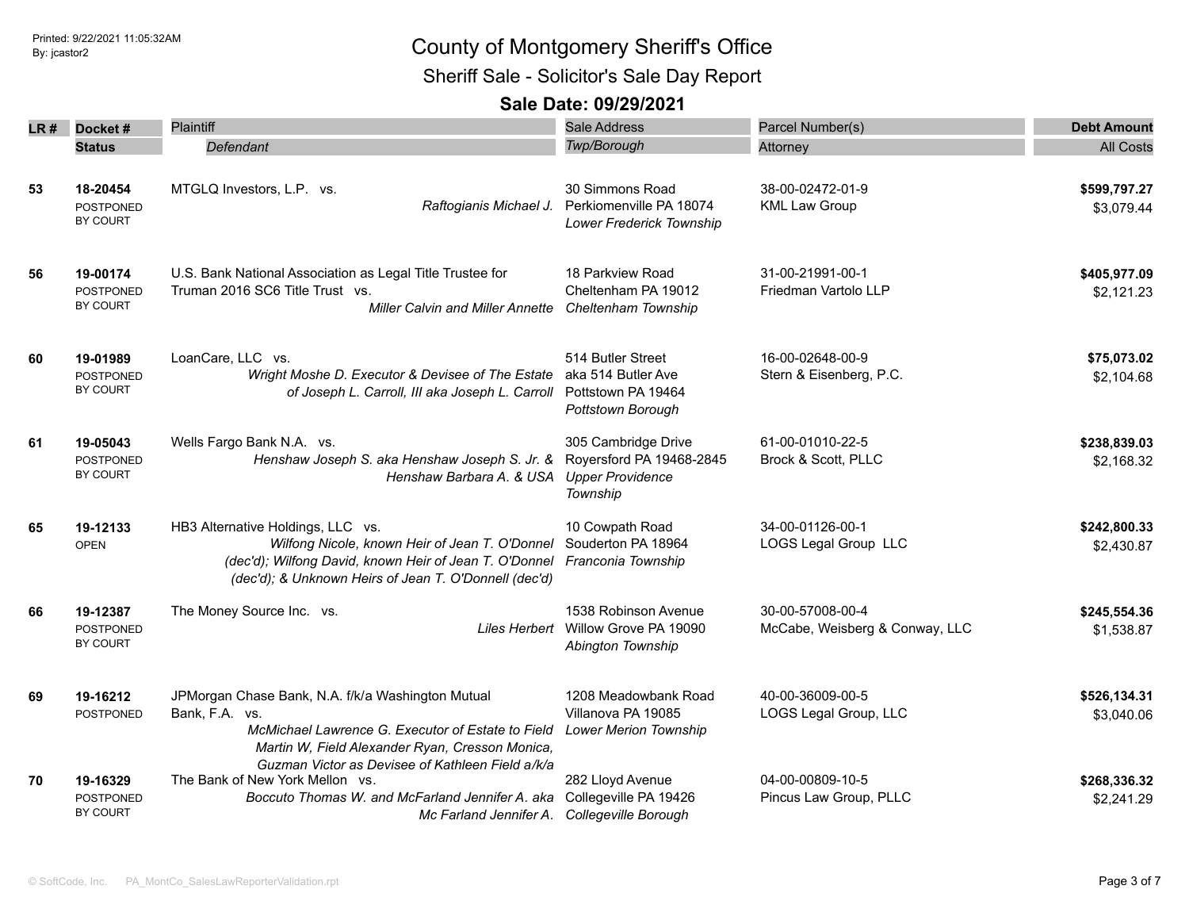Sheriff Sale - Solicitor's Sale Day Report

| LR # | Docket#                                         | Plaintiff                                                                                                                                                                                                                       | <b>Sale Address</b>                                                                    | Parcel Number(s)                                   | <b>Debt Amount</b>         |
|------|-------------------------------------------------|---------------------------------------------------------------------------------------------------------------------------------------------------------------------------------------------------------------------------------|----------------------------------------------------------------------------------------|----------------------------------------------------|----------------------------|
|      | <b>Status</b>                                   | Defendant                                                                                                                                                                                                                       | Twp/Borough                                                                            | Attorney                                           | <b>All Costs</b>           |
| 53   | 18-20454<br><b>POSTPONED</b><br>BY COURT        | MTGLQ Investors, L.P. vs.<br>Raftogianis Michael J.                                                                                                                                                                             | 30 Simmons Road<br>Perkiomenville PA 18074<br>Lower Frederick Township                 | 38-00-02472-01-9<br><b>KML Law Group</b>           | \$599,797.27<br>\$3,079.44 |
| 56   | 19-00174<br>POSTPONED<br>BY COURT               | U.S. Bank National Association as Legal Title Trustee for<br>Truman 2016 SC6 Title Trust vs.<br><b>Miller Calvin and Miller Annette</b>                                                                                         | 18 Parkview Road<br>Cheltenham PA 19012<br>Cheltenham Township                         | 31-00-21991-00-1<br>Friedman Vartolo LLP           | \$405,977.09<br>\$2,121.23 |
| 60   | 19-01989<br><b>POSTPONED</b><br>BY COURT        | LoanCare, LLC vs.<br>Wright Moshe D. Executor & Devisee of The Estate<br>of Joseph L. Carroll, III aka Joseph L. Carroll                                                                                                        | 514 Butler Street<br>aka 514 Butler Ave<br>Pottstown PA 19464<br>Pottstown Borough     | 16-00-02648-00-9<br>Stern & Eisenberg, P.C.        | \$75,073.02<br>\$2,104.68  |
| 61   | 19-05043<br><b>POSTPONED</b><br>BY COURT        | Wells Fargo Bank N.A. vs.<br>Henshaw Joseph S. aka Henshaw Joseph S. Jr. &<br>Henshaw Barbara A. & USA                                                                                                                          | 305 Cambridge Drive<br>Royersford PA 19468-2845<br><b>Upper Providence</b><br>Township | 61-00-01010-22-5<br>Brock & Scott, PLLC            | \$238,839.03<br>\$2,168.32 |
| 65   | 19-12133<br><b>OPEN</b>                         | HB3 Alternative Holdings, LLC vs.<br>Wilfong Nicole, known Heir of Jean T. O'Donnel<br>(dec'd); Wilfong David, known Heir of Jean T. O'Donnel<br>(dec'd); & Unknown Heirs of Jean T. O'Donnell (dec'd)                          | 10 Cowpath Road<br>Souderton PA 18964<br>Franconia Township                            | 34-00-01126-00-1<br><b>LOGS Legal Group LLC</b>    | \$242,800.33<br>\$2,430.87 |
| 66   | 19-12387<br><b>POSTPONED</b><br><b>BY COURT</b> | The Money Source Inc. vs.                                                                                                                                                                                                       | 1538 Robinson Avenue<br>Liles Herbert Willow Grove PA 19090<br>Abington Township       | 30-00-57008-00-4<br>McCabe, Weisberg & Conway, LLC | \$245,554.36<br>\$1,538.87 |
| 69   | 19-16212<br><b>POSTPONED</b>                    | JPMorgan Chase Bank, N.A. f/k/a Washington Mutual<br>Bank, F.A. vs.<br>McMichael Lawrence G. Executor of Estate to Field<br>Martin W, Field Alexander Ryan, Cresson Monica,<br>Guzman Victor as Devisee of Kathleen Field a/k/a | 1208 Meadowbank Road<br>Villanova PA 19085<br><b>Lower Merion Township</b>             | 40-00-36009-00-5<br>LOGS Legal Group, LLC          | \$526,134.31<br>\$3,040.06 |
| 70   | 19-16329<br>POSTPONED<br>BY COURT               | The Bank of New York Mellon vs.<br>Boccuto Thomas W. and McFarland Jennifer A. aka<br>Mc Farland Jennifer A. Collegeville Borough                                                                                               | 282 Lloyd Avenue<br>Collegeville PA 19426                                              | 04-00-00809-10-5<br>Pincus Law Group, PLLC         | \$268,336.32<br>\$2,241.29 |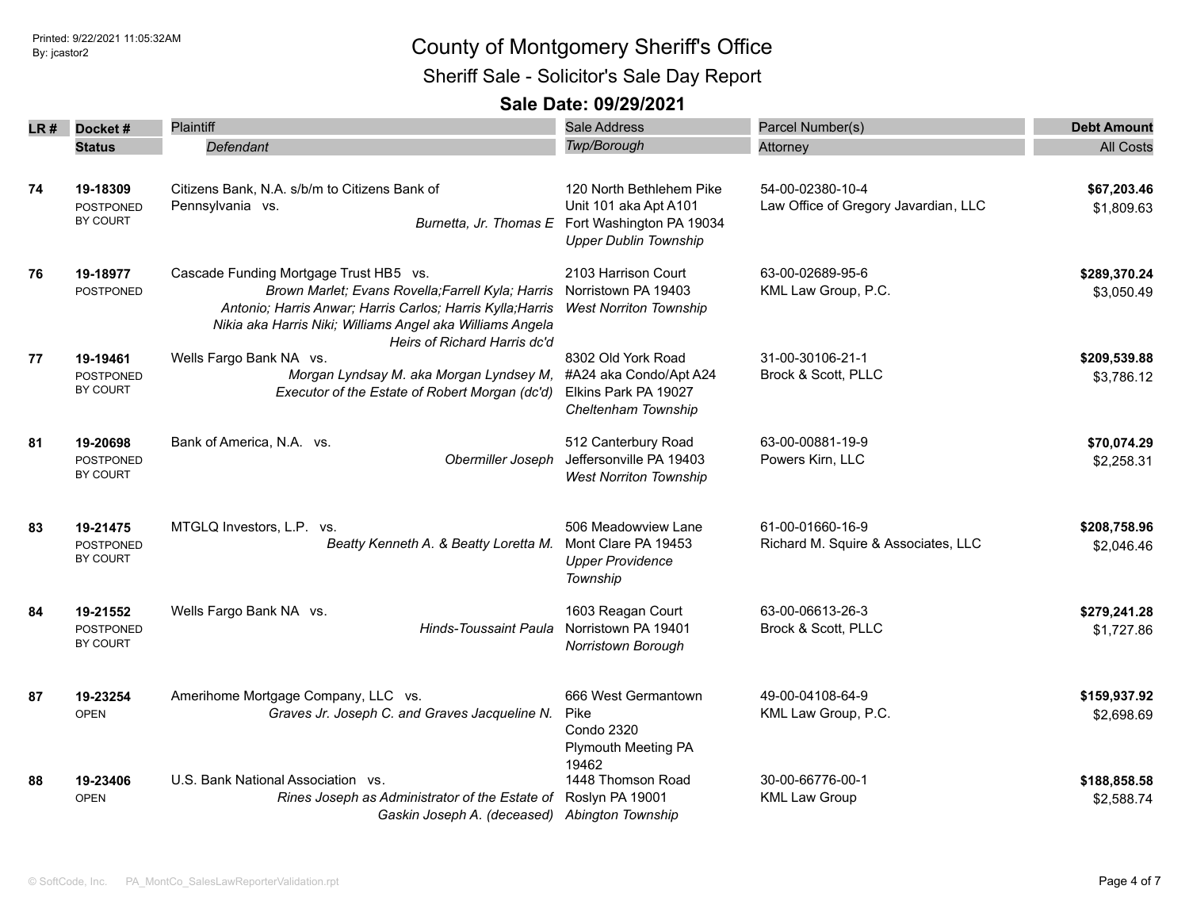Sheriff Sale - Solicitor's Sale Day Report

| LR # | Docket#                      | Plaintiff                                                          | Sale Address                                    | Parcel Number(s)                     | <b>Debt Amount</b> |
|------|------------------------------|--------------------------------------------------------------------|-------------------------------------------------|--------------------------------------|--------------------|
|      | Status                       | Defendant                                                          | <b>Twp/Borough</b>                              | Attorney                             | <b>All Costs</b>   |
|      |                              |                                                                    |                                                 |                                      |                    |
| 74   | 19-18309                     | Citizens Bank, N.A. s/b/m to Citizens Bank of                      | 120 North Bethlehem Pike                        | 54-00-02380-10-4                     | \$67,203.46        |
|      | POSTPONED                    | Pennsylvania vs.                                                   | Unit 101 aka Apt A101                           | Law Office of Gregory Javardian, LLC | \$1,809.63         |
|      | BY COURT                     |                                                                    | Burnetta, Jr. Thomas E Fort Washington PA 19034 |                                      |                    |
|      |                              |                                                                    | <b>Upper Dublin Township</b>                    |                                      |                    |
| 76   | 19-18977                     | Cascade Funding Mortgage Trust HB5 vs.                             | 2103 Harrison Court                             | 63-00-02689-95-6                     | \$289,370.24       |
|      | POSTPONED                    | Brown Marlet; Evans Rovella; Farrell Kyla; Harris                  | Norristown PA 19403                             | KML Law Group, P.C.                  | \$3,050.49         |
|      |                              | Antonio; Harris Anwar; Harris Carlos; Harris Kylla; Harris         | <b>West Norriton Township</b>                   |                                      |                    |
|      |                              | Nikia aka Harris Niki; Williams Angel aka Williams Angela          |                                                 |                                      |                    |
|      |                              | Heirs of Richard Harris dc'd                                       | 8302 Old York Road                              | 31-00-30106-21-1                     | \$209,539.88       |
| 77   | 19-19461<br><b>POSTPONED</b> | Wells Fargo Bank NA vs.<br>Morgan Lyndsay M. aka Morgan Lyndsey M, | #A24 aka Condo/Apt A24                          | Brock & Scott, PLLC                  | \$3,786.12         |
|      | BY COURT                     | Executor of the Estate of Robert Morgan (dc'd)                     | Elkins Park PA 19027                            |                                      |                    |
|      |                              |                                                                    | Cheltenham Township                             |                                      |                    |
|      |                              |                                                                    |                                                 |                                      |                    |
| 81   | 19-20698                     | Bank of America, N.A. vs.                                          | 512 Canterbury Road                             | 63-00-00881-19-9                     | \$70,074.29        |
|      | <b>POSTPONED</b>             | Obermiller Joseph                                                  | Jeffersonville PA 19403                         | Powers Kirn, LLC                     | \$2,258.31         |
|      | BY COURT                     |                                                                    | <b>West Norriton Township</b>                   |                                      |                    |
| 83   | 19-21475                     | MTGLQ Investors, L.P. vs.                                          | 506 Meadowview Lane                             | 61-00-01660-16-9                     | \$208,758.96       |
|      | POSTPONED                    | Beatty Kenneth A. & Beatty Loretta M.                              | Mont Clare PA 19453                             | Richard M. Squire & Associates, LLC  | \$2,046.46         |
|      | BY COURT                     |                                                                    | <b>Upper Providence</b>                         |                                      |                    |
|      |                              |                                                                    | Township                                        |                                      |                    |
| 84   | 19-21552                     | Wells Fargo Bank NA vs.                                            | 1603 Reagan Court                               | 63-00-06613-26-3                     | \$279,241.28       |
|      | <b>POSTPONED</b>             | <b>Hinds-Toussaint Paula</b>                                       | Norristown PA 19401                             | Brock & Scott, PLLC                  | \$1,727.86         |
|      | <b>BY COURT</b>              |                                                                    | Norristown Borough                              |                                      |                    |
|      |                              | Amerihome Mortgage Company, LLC vs.                                | 666 West Germantown                             | 49-00-04108-64-9                     | \$159,937.92       |
| 87   | 19-23254<br><b>OPEN</b>      | Graves Jr. Joseph C. and Graves Jacqueline N.                      | Pike                                            | KML Law Group, P.C.                  |                    |
|      |                              |                                                                    | <b>Condo 2320</b>                               |                                      | \$2,698.69         |
|      |                              |                                                                    | <b>Plymouth Meeting PA</b>                      |                                      |                    |
|      |                              |                                                                    | 19462                                           |                                      |                    |
| 88   | 19-23406                     | U.S. Bank National Association vs.                                 | 1448 Thomson Road                               | 30-00-66776-00-1                     | \$188,858.58       |
|      | <b>OPEN</b>                  | Rines Joseph as Administrator of the Estate of                     | Roslyn PA 19001                                 | <b>KML Law Group</b>                 | \$2,588.74         |
|      |                              | Gaskin Joseph A. (deceased) Abington Township                      |                                                 |                                      |                    |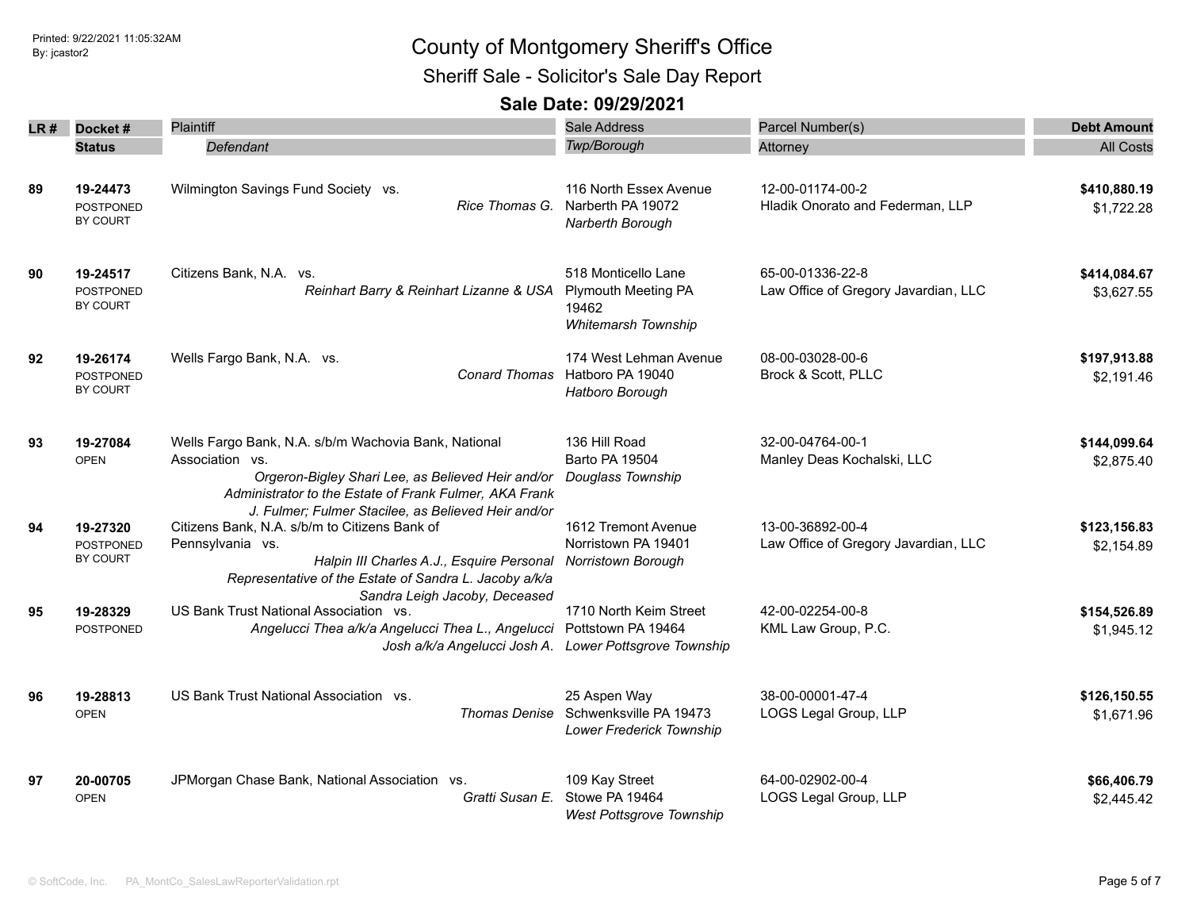Sheriff Sale - Solicitor's Sale Day Report

| LR# | Docket#                                  | <b>Plaintiff</b>                                                                                                                                                                                                                              | <b>Sale Address</b>                                                               | Parcel Number(s)                                         | <b>Debt Amount</b>         |
|-----|------------------------------------------|-----------------------------------------------------------------------------------------------------------------------------------------------------------------------------------------------------------------------------------------------|-----------------------------------------------------------------------------------|----------------------------------------------------------|----------------------------|
|     | <b>Status</b>                            | Defendant                                                                                                                                                                                                                                     | Twp/Borough                                                                       | Attorney                                                 | <b>All Costs</b>           |
| 89  | 19-24473<br><b>POSTPONED</b><br>BY COURT | Wilmington Savings Fund Society vs.<br>Rice Thomas G.                                                                                                                                                                                         | 116 North Essex Avenue<br>Narberth PA 19072<br>Narberth Borough                   | 12-00-01174-00-2<br>Hladik Onorato and Federman, LLP     | \$410,880.19<br>\$1,722.28 |
| 90  | 19-24517<br><b>POSTPONED</b><br>BY COURT | Citizens Bank, N.A. vs.<br>Reinhart Barry & Reinhart Lizanne & USA                                                                                                                                                                            | 518 Monticello Lane<br><b>Plymouth Meeting PA</b><br>19462<br>Whitemarsh Township | 65-00-01336-22-8<br>Law Office of Gregory Javardian, LLC | \$414,084.67<br>\$3,627.55 |
| 92  | 19-26174<br><b>POSTPONED</b><br>BY COURT | Wells Fargo Bank, N.A. vs.<br><b>Conard Thomas</b>                                                                                                                                                                                            | 174 West Lehman Avenue<br>Hatboro PA 19040<br>Hatboro Borough                     | 08-00-03028-00-6<br>Brock & Scott, PLLC                  | \$197,913.88<br>\$2.191.46 |
| 93  | 19-27084<br><b>OPEN</b>                  | Wells Fargo Bank, N.A. s/b/m Wachovia Bank, National<br>Association vs.<br>Orgeron-Bigley Shari Lee, as Believed Heir and/or<br>Administrator to the Estate of Frank Fulmer, AKA Frank<br>J. Fulmer; Fulmer Stacilee, as Believed Heir and/or | 136 Hill Road<br>Barto PA 19504<br>Douglass Township                              | 32-00-04764-00-1<br>Manley Deas Kochalski, LLC           | \$144,099.64<br>\$2,875.40 |
| 94  | 19-27320<br><b>POSTPONED</b><br>BY COURT | Citizens Bank, N.A. s/b/m to Citizens Bank of<br>Pennsylvania vs.<br>Halpin III Charles A.J., Esquire Personal<br>Representative of the Estate of Sandra L. Jacoby a/k/a<br>Sandra Leigh Jacoby, Deceased                                     | 1612 Tremont Avenue<br>Norristown PA 19401<br><b>Norristown Borough</b>           | 13-00-36892-00-4<br>Law Office of Gregory Javardian, LLC | \$123,156.83<br>\$2,154.89 |
| 95  | 19-28329<br>POSTPONED                    | US Bank Trust National Association vs.<br>Angelucci Thea a/k/a Angelucci Thea L., Angelucci<br>Josh a/k/a Angelucci Josh A.                                                                                                                   | 1710 North Keim Street<br>Pottstown PA 19464<br>Lower Pottsgrove Township         | 42-00-02254-00-8<br>KML Law Group, P.C.                  | \$154,526.89<br>\$1,945.12 |
| 96  | 19-28813<br><b>OPEN</b>                  | US Bank Trust National Association vs.<br><b>Thomas Denise</b>                                                                                                                                                                                | 25 Aspen Way<br>Schwenksville PA 19473<br>Lower Frederick Township                | 38-00-00001-47-4<br>LOGS Legal Group, LLP                | \$126,150.55<br>\$1,671.96 |
| 97  | 20-00705<br><b>OPEN</b>                  | JPMorgan Chase Bank, National Association vs.<br>Gratti Susan E.                                                                                                                                                                              | 109 Kay Street<br>Stowe PA 19464<br><b>West Pottsgrove Township</b>               | 64-00-02902-00-4<br>LOGS Legal Group, LLP                | \$66,406.79<br>\$2,445.42  |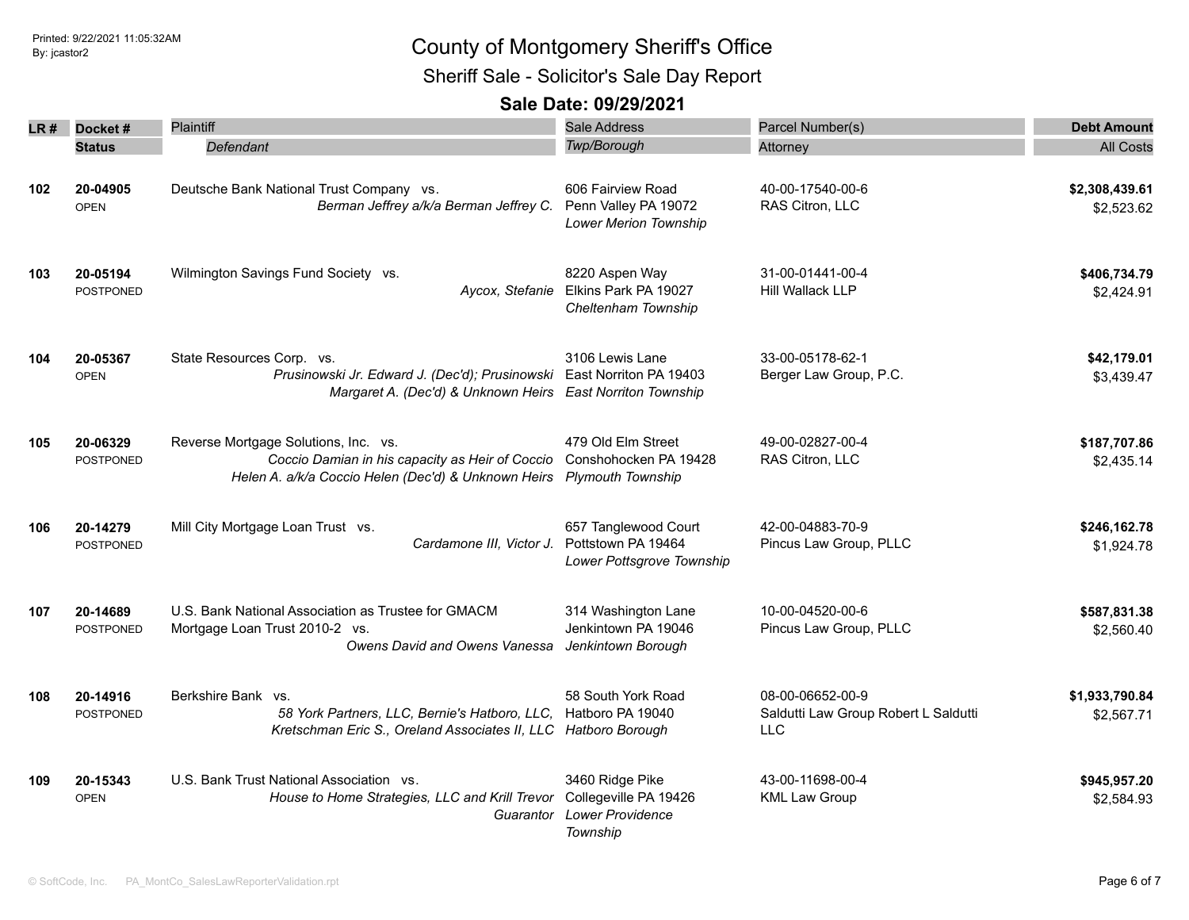Sheriff Sale - Solicitor's Sale Day Report

|     | $LR#$ Docket#                | Plaintiff                                                                                                                                                        | <b>Sale Address</b>                                                             | Parcel Number(s)                                                       | <b>Debt Amount</b>           |
|-----|------------------------------|------------------------------------------------------------------------------------------------------------------------------------------------------------------|---------------------------------------------------------------------------------|------------------------------------------------------------------------|------------------------------|
|     | <b>Status</b>                | Defendant                                                                                                                                                        | <b>Twp/Borough</b>                                                              | Attorney                                                               | <b>All Costs</b>             |
| 102 | 20-04905<br><b>OPEN</b>      | Deutsche Bank National Trust Company vs.<br>Berman Jeffrey a/k/a Berman Jeffrey C.                                                                               | 606 Fairview Road<br>Penn Valley PA 19072<br><b>Lower Merion Township</b>       | 40-00-17540-00-6<br>RAS Citron, LLC                                    | \$2,308,439.61<br>\$2,523.62 |
| 103 | 20-05194<br>POSTPONED        | Wilmington Savings Fund Society vs.                                                                                                                              | 8220 Aspen Way<br>Aycox, Stefanie Elkins Park PA 19027<br>Cheltenham Township   | 31-00-01441-00-4<br><b>Hill Wallack LLP</b>                            | \$406,734.79<br>\$2,424.91   |
| 104 | 20-05367<br><b>OPEN</b>      | State Resources Corp. vs.<br>Prusinowski Jr. Edward J. (Dec'd); Prusinowski East Norriton PA 19403<br>Margaret A. (Dec'd) & Unknown Heirs East Norriton Township | 3106 Lewis Lane                                                                 | 33-00-05178-62-1<br>Berger Law Group, P.C.                             | \$42,179.01<br>\$3,439.47    |
| 105 | 20-06329<br><b>POSTPONED</b> | Reverse Mortgage Solutions, Inc. vs.<br>Coccio Damian in his capacity as Heir of Coccio<br>Helen A. a/k/a Coccio Helen (Dec'd) & Unknown Heirs Plymouth Township | 479 Old Elm Street<br>Conshohocken PA 19428                                     | 49-00-02827-00-4<br>RAS Citron, LLC                                    | \$187,707.86<br>\$2,435.14   |
| 106 | 20-14279<br>POSTPONED        | Mill City Mortgage Loan Trust vs.<br>Cardamone III, Victor J.                                                                                                    | 657 Tanglewood Court<br>Pottstown PA 19464<br>Lower Pottsgrove Township         | 42-00-04883-70-9<br>Pincus Law Group, PLLC                             | \$246,162.78<br>\$1,924.78   |
| 107 | 20-14689<br>POSTPONED        | U.S. Bank National Association as Trustee for GMACM<br>Mortgage Loan Trust 2010-2 vs.<br>Owens David and Owens Vanessa                                           | 314 Washington Lane<br>Jenkintown PA 19046<br>Jenkintown Borough                | 10-00-04520-00-6<br>Pincus Law Group, PLLC                             | \$587,831.38<br>\$2,560.40   |
| 108 | 20-14916<br><b>POSTPONED</b> | Berkshire Bank vs.<br>58 York Partners, LLC, Bernie's Hatboro, LLC,<br>Kretschman Eric S., Oreland Associates II, LLC Hatboro Borough                            | 58 South York Road<br>Hatboro PA 19040                                          | 08-00-06652-00-9<br>Saldutti Law Group Robert L Saldutti<br><b>LLC</b> | \$1,933,790.84<br>\$2,567.71 |
| 109 | 20-15343<br><b>OPEN</b>      | U.S. Bank Trust National Association vs.<br>House to Home Strategies, LLC and Krill Trevor<br>Guarantor                                                          | 3460 Ridge Pike<br>Collegeville PA 19426<br><b>Lower Providence</b><br>Township | 43-00-11698-00-4<br><b>KML Law Group</b>                               | \$945,957.20<br>\$2,584.93   |